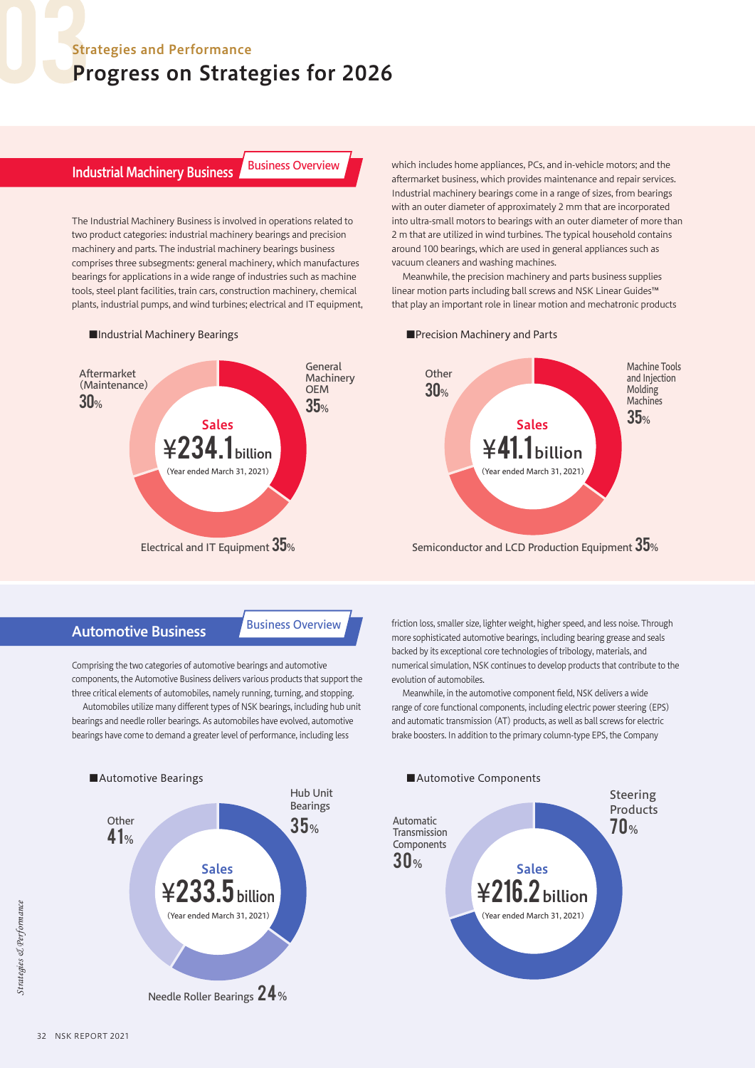### Strategies and Performance

# Progress on Strategies for 2026

# **Industrial Machinery Business Business Overview**

The Industrial Machinery Business is involved in operations related to two product categories: industrial machinery bearings and precision machinery and parts. The industrial machinery bearings business comprises three subsegments: general machinery, which manufactures bearings for applications in a wide range of industries such as machine tools, steel plant facilities, train cars, construction machinery, chemical plants, industrial pumps, and wind turbines; electrical and IT equipment,



#### ■Industrial Machinery Bearings

which includes home appliances, PCs, and in-vehicle motors; and the aftermarket business, which provides maintenance and repair services. Industrial machinery bearings come in a range of sizes, from bearings with an outer diameter of approximately 2 mm that are incorporated into ultra-small motors to bearings with an outer diameter of more than 2 m that are utilized in wind turbines. The typical household contains around 100 bearings, which are used in general appliances such as vacuum cleaners and washing machines.

Meanwhile, the precision machinery and parts business supplies linear motion parts including ball screws and NSK Linear Guides™ that play an important role in linear motion and mechatronic products

#### ■Precision Machinery and Parts



Semiconductor and LCD Production Equipment  $35$ %

Automotive Business **Business** Overview

Comprising the two categories of automotive bearings and automotive components, the Automotive Business delivers various products that support the three critical elements of automobiles, namely running, turning, and stopping.

Automobiles utilize many different types of NSK bearings, including hub unit bearings and needle roller bearings. As automobiles have evolved, automotive bearings have come to demand a greater level of performance, including less



friction loss, smaller size, lighter weight, higher speed, and less noise. Through more sophisticated automotive bearings, including bearing grease and seals backed by its exceptional core technologies of tribology, materials, and numerical simulation, NSK continues to develop products that contribute to the evolution of automobiles.

Meanwhile, in the automotive component field, NSK delivers a wide range of core functional components, including electric power steering (EPS) and automatic transmission (AT) products, as well as ball screws for electric brake boosters. In addition to the primary column-type EPS, the Company

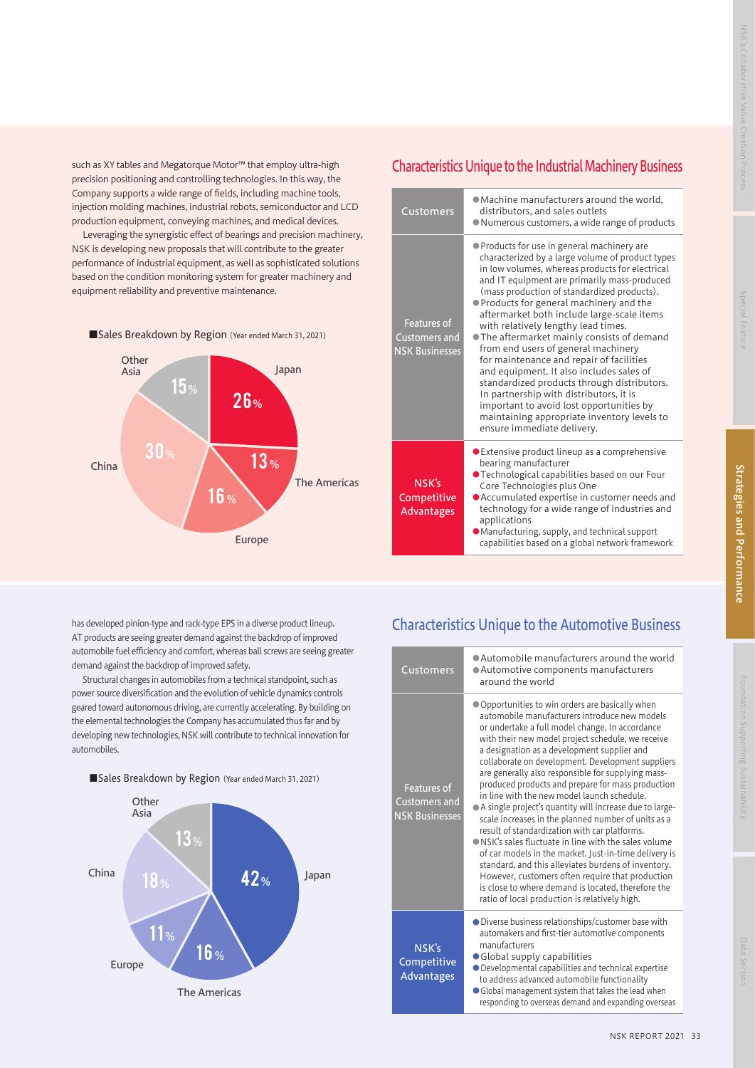such as XY tables and Megatorque Motor™ that employ ultra-high precision positioning and controlling technologies. In this way, the Company supports a wide range of fields, including machine tools, injection molding machines, industrial robots, semiconductor and LCD production equipment, conveying machines, and medical devices.

Leveraging the synergistic effect of bearings and precision machinery, NSK is developing new proposals that will contribute to the greater performance of industrial equipment, as well as sophisticated solutions based on the condition monitoring system for greater machinery and equipment reliability and preventive maintenance.



## Characteristics Unique to the Industrial Machinery Business

| Customers                                                           | • Machine manufacturers around the world,<br>distributors, and sales outlets<br>• Numerous customers, a wide range of products                                                                                                                                                                                                                                                                                                                                                                                                                                                                                                                                                                                                                                                      |
|---------------------------------------------------------------------|-------------------------------------------------------------------------------------------------------------------------------------------------------------------------------------------------------------------------------------------------------------------------------------------------------------------------------------------------------------------------------------------------------------------------------------------------------------------------------------------------------------------------------------------------------------------------------------------------------------------------------------------------------------------------------------------------------------------------------------------------------------------------------------|
| <b>Features of</b><br><b>Customers and</b><br><b>NSK Businesses</b> | • Products for use in general machinery are<br>characterized by a large volume of product types<br>in low volumes, whereas products for electrical<br>and IT equipment are primarily mass-produced<br>(mass production of standardized products).<br>• Products for general machinery and the<br>aftermarket both include large-scale items<br>with relatively lengthy lead times.<br>● The aftermarket mainly consists of demand<br>from end users of general machinery<br>for maintenance and repair of facilities<br>and equipment. It also includes sales of<br>standardized products through distributors.<br>In partnership with distributors, it is<br>important to avoid lost opportunities by<br>maintaining appropriate inventory levels to<br>ensure immediate delivery. |
| NSK's<br>Competitive<br><b>Advantages</b>                           | ● Extensive product lineup as a comprehensive<br>bearing manufacturer<br>● Technological capabilities based on our Four<br>Core Technologies plus One<br>• Accumulated expertise in customer needs and<br>technology for a wide range of industries and<br>applications<br>· Manufacturing, supply, and technical support                                                                                                                                                                                                                                                                                                                                                                                                                                                           |

capabilities based on a global network framework

has developed pinion-type and rack-type EPS in a diverse product lineup. AT products are seeing greater demand against the backdrop of improved automobile fuel efficiency and comfort, whereas ball screws are seeing greater demand against the backdrop of improved safety.

Structural changes in automobiles from a technical standpoint, such as power source diversification and the evolution of vehicle dynamics controls geared toward autonomous driving, are currently accelerating. By building on the elemental technologies the Company has accumulated thus far and by developing new technologies, NSK will contribute to technical innovation for automobiles.





## Characteristics Unique to the Automotive Business

| <b>Customers</b>                                      | • Automobile manufacturers around the world<br>• Automotive components manufacturers<br>around the world                                                                                                                                                                                                                                                                                                                                                                                                                                                                                                                                                                                                                                                                                                                                                                                                                                                                         |
|-------------------------------------------------------|----------------------------------------------------------------------------------------------------------------------------------------------------------------------------------------------------------------------------------------------------------------------------------------------------------------------------------------------------------------------------------------------------------------------------------------------------------------------------------------------------------------------------------------------------------------------------------------------------------------------------------------------------------------------------------------------------------------------------------------------------------------------------------------------------------------------------------------------------------------------------------------------------------------------------------------------------------------------------------|
| Features of<br>Customers and<br><b>NSK Businesses</b> | • Opportunities to win orders are basically when<br>automobile manufacturers introduce new models<br>or undertake a full model change. In accordance<br>with their new model project schedule, we receive<br>a designation as a development supplier and<br>collaborate on development. Development suppliers<br>are generally also responsible for supplying mass-<br>produced products and prepare for mass production<br>in line with the new model launch schedule.<br>• A single project's quantity will increase due to large-<br>scale increases in the planned number of units as a<br>result of standardization with car platforms.<br>• NSK's sales fluctuate in line with the sales volume<br>of car models in the market. Just-in-time delivery is<br>standard, and this alleviates burdens of inventory.<br>However, customers often require that production<br>is close to where demand is located, therefore the<br>ratio of local production is relatively high. |
| NSK's<br>Competitive<br><b>Advantages</b>             | • Diverse business relationships/customer base with<br>automakers and first-tier automotive components<br>manufacturers<br>• Global supply capabilities<br>• Developmental capabilities and technical expertise<br>to address advanced automobile functionality<br>• Global management system that takes the lead when<br>responding to overseas demand and expanding overseas                                                                                                                                                                                                                                                                                                                                                                                                                                                                                                                                                                                                   |